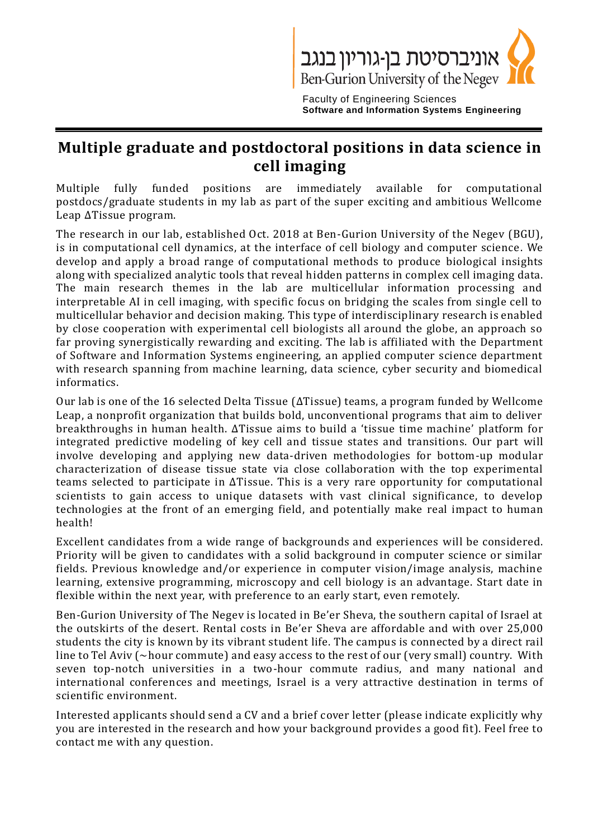

Faculty of Engineering Sciences **Software and Information Systems Engineering**

## **Multiple graduate and postdoctoral positions in data science in cell imaging**

Multiple fully funded positions are immediately available for computational postdocs/graduate students in my lab as part of the super exciting and ambitious Wellcome Leap ΔTissue program.

The research in our lab, established Oct. 2018 at Ben-Gurion University of the Negev (BGU), is in computational cell dynamics, at the interface of cell biology and computer science. We develop and apply a broad range of computational methods to produce biological insights along with specialized analytic tools that reveal hidden patterns in complex cell imaging data. The main research themes in the lab are multicellular information processing and interpretable AI in cell imaging, with specific focus on bridging the scales from single cell to multicellular behavior and decision making. This type of interdisciplinary research is enabled by close cooperation with experimental cell biologists all around the globe, an approach so far proving synergistically rewarding and exciting. The lab is affiliated with the Department of Software and Information Systems engineering, an applied computer science department with research spanning from machine learning, data science, cyber security and biomedical informatics.

Our lab is one of the 16 selected Delta Tissue (ΔTissue) teams, a program funded by Wellcome Leap, a nonprofit organization that builds bold, unconventional programs that aim to deliver breakthroughs in human health. ΔTissue aims to build a 'tissue time machine' platform for integrated predictive modeling of key cell and tissue states and transitions. Our part will involve developing and applying new data-driven methodologies for bottom-up modular characterization of disease tissue state via close collaboration with the top experimental teams selected to participate in ΔTissue. This is a very rare opportunity for computational scientists to gain access to unique datasets with vast clinical significance, to develop technologies at the front of an emerging field, and potentially make real impact to human health!

Excellent candidates from a wide range of backgrounds and experiences will be considered. Priority will be given to candidates with a solid background in computer science or similar fields. Previous knowledge and/or experience in computer vision/image analysis, machine learning, extensive programming, microscopy and cell biology is an advantage. Start date in flexible within the next year, with preference to an early start, even remotely.

Ben-Gurion University of The Negev is located in Be'er Sheva, the southern capital of Israel at the outskirts of the desert. Rental costs in Be'er Sheva are affordable and with over 25,000 students the city is known by its vibrant student life. The campus is connected by a direct rail line to Tel Aviv (~hour commute) and easy access to the rest of our (very small) country. With seven top-notch universities in a two-hour commute radius, and many national and international conferences and meetings, Israel is a very attractive destination in terms of scientific environment.

Interested applicants should send a CV and a brief cover letter (please indicate explicitly why you are interested in the research and how your background provides a good fit). Feel free to contact me with any question.